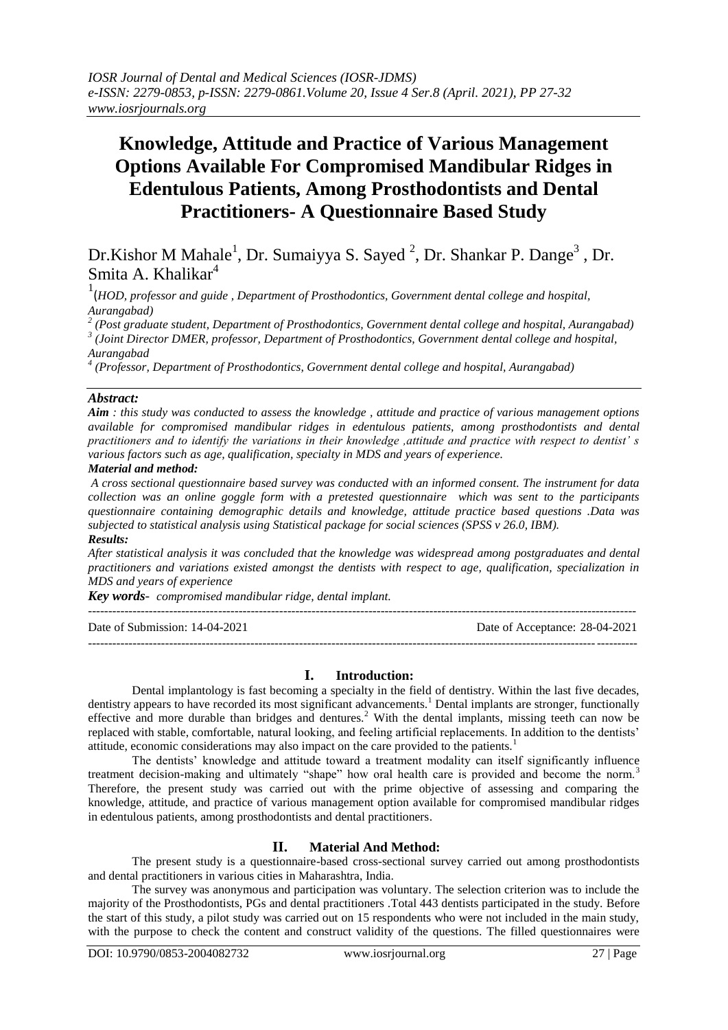# **Knowledge, Attitude and Practice of Various Management Options Available For Compromised Mandibular Ridges in Edentulous Patients, Among Prosthodontists and Dental Practitioners- A Questionnaire Based Study**

Dr.Kishor M Mahale<sup>1</sup>, Dr. Sumaiyya S. Sayed<sup>2</sup>, Dr. Shankar P. Dange<sup>3</sup>, Dr. Smita A. Khalikar<sup>4</sup>

1 (*HOD, professor and guide , Department of Prosthodontics, Government dental college and hospital, Aurangabad)*

*2 (Post graduate student, Department of Prosthodontics, Government dental college and hospital, Aurangabad) 3 (Joint Director DMER, professor, Department of Prosthodontics, Government dental college and hospital, Aurangabad*

*4 (Professor, Department of Prosthodontics, Government dental college and hospital, Aurangabad)*

## *Abstract:*

*Aim : this study was conducted to assess the knowledge , attitude and practice of various management options available for compromised mandibular ridges in edentulous patients, among prosthodontists and dental practitioners and to identify the variations in their knowledge ,attitude and practice with respect to dentist' s various factors such as age, qualification, specialty in MDS and years of experience.*

## *Material and method:*

*A cross sectional questionnaire based survey was conducted with an informed consent. The instrument for data collection was an online goggle form with a pretested questionnaire which was sent to the participants questionnaire containing demographic details and knowledge, attitude practice based questions .Data was subjected to statistical analysis using Statistical package for social sciences (SPSS v 26.0, IBM). Results:*

*After statistical analysis it was concluded that the knowledge was widespread among postgraduates and dental practitioners and variations existed amongst the dentists with respect to age, qualification, specialization in MDS and years of experience*

*Key words- compromised mandibular ridge, dental implant.*

--------------------------------------------------------------------------------------------------------------------------------------- Date of Submission: 14-04-2021 Date of Acceptance: 28-04-2021

---------------------------------------------------------------------------------------------------------------------------------------

#### **I. Introduction:**

Dental implantology is fast becoming a specialty in the field of dentistry. Within the last five decades, dentistry appears to have recorded its most significant advancements.<sup>1</sup> Dental implants are stronger, functionally effective and more durable than bridges and dentures.<sup>2</sup> With the dental implants, missing teeth can now be replaced with stable, comfortable, natural looking, and feeling artificial replacements. In addition to the dentists' attitude, economic considerations may also impact on the care provided to the patients.<sup>1</sup>

The dentists' knowledge and attitude toward a treatment modality can itself significantly influence treatment decision-making and ultimately "shape" how oral health care is provided and become the norm.<sup>3</sup> Therefore, the present study was carried out with the prime objective of assessing and comparing the knowledge, attitude, and practice of various management option available for compromised mandibular ridges in edentulous patients, among prosthodontists and dental practitioners.

# **II. Material And Method:**

The present study is a questionnaire-based cross-sectional survey carried out among prosthodontists and dental practitioners in various cities in Maharashtra, India.

The survey was anonymous and participation was voluntary. The selection criterion was to include the majority of the Prosthodontists, PGs and dental practitioners .Total 443 dentists participated in the study. Before the start of this study, a pilot study was carried out on 15 respondents who were not included in the main study, with the purpose to check the content and construct validity of the questions. The filled questionnaires were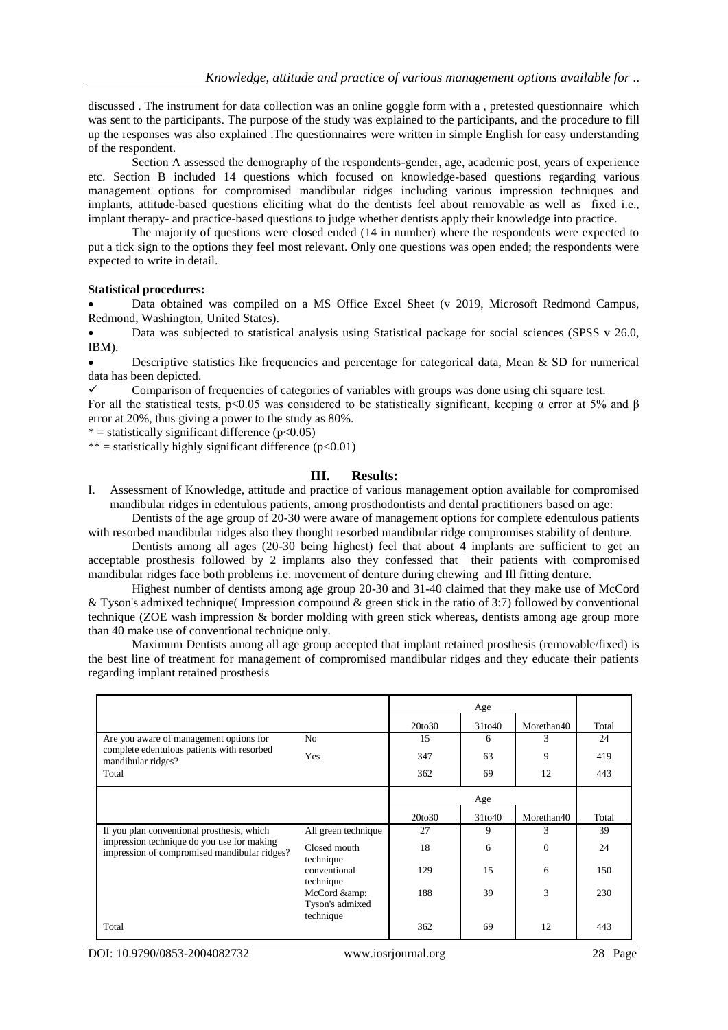discussed . The instrument for data collection was an online goggle form with a , pretested questionnaire which was sent to the participants. The purpose of the study was explained to the participants, and the procedure to fill up the responses was also explained .The questionnaires were written in simple English for easy understanding of the respondent.

Section A assessed the demography of the respondents-gender, age, academic post, years of experience etc. Section B included 14 questions which focused on knowledge-based questions regarding various management options for compromised mandibular ridges including various impression techniques and implants, attitude-based questions eliciting what do the dentists feel about removable as well as fixed i.e., implant therapy- and practice-based questions to judge whether dentists apply their knowledge into practice.

The majority of questions were closed ended (14 in number) where the respondents were expected to put a tick sign to the options they feel most relevant. Only one questions was open ended; the respondents were expected to write in detail.

#### **Statistical procedures:**

 Data obtained was compiled on a MS Office Excel Sheet (v 2019, Microsoft Redmond Campus, Redmond, Washington, United States).

Data was subjected to statistical analysis using Statistical package for social sciences (SPSS v 26.0, IBM).

 Descriptive statistics like frequencies and percentage for categorical data, Mean & SD for numerical data has been depicted.

 $\checkmark$  Comparison of frequencies of categories of variables with groups was done using chi square test.

For all the statistical tests, p<0.05 was considered to be statistically significant, keeping  $\alpha$  error at 5% and  $\beta$ error at 20%, thus giving a power to the study as 80%.

 $*$  = statistically significant difference (p<0.05)

\*\* = statistically highly significant difference  $(p<0.01)$ 

# **III. Results:**

I. Assessment of Knowledge, attitude and practice of various management option available for compromised mandibular ridges in edentulous patients, among prosthodontists and dental practitioners based on age:

Dentists of the age group of 20-30 were aware of management options for complete edentulous patients with resorbed mandibular ridges also they thought resorbed mandibular ridge compromises stability of denture.

Dentists among all ages (20-30 being highest) feel that about 4 implants are sufficient to get an acceptable prosthesis followed by 2 implants also they confessed that their patients with compromised mandibular ridges face both problems i.e. movement of denture during chewing and Ill fitting denture.

Highest number of dentists among age group 20-30 and 31-40 claimed that they make use of McCord & Tyson's admixed technique( Impression compound & green stick in the ratio of 3:7) followed by conventional technique (ZOE wash impression & border molding with green stick whereas, dentists among age group more than 40 make use of conventional technique only.

Maximum Dentists among all age group accepted that implant retained prosthesis (removable/fixed) is the best line of treatment for management of compromised mandibular ridges and they educate their patients regarding implant retained prosthesis

|                                                                                            |                             | 20to30 | 31to40 | Morethan40 | Total |
|--------------------------------------------------------------------------------------------|-----------------------------|--------|--------|------------|-------|
| Are you aware of management options for                                                    | No                          | 15     | 6      | 3          | 24    |
| complete edentulous patients with resorbed<br>mandibular ridges?                           | Yes                         | 347    | 63     | 9          | 419   |
| Total                                                                                      |                             | 362    | 69     | 12         | 443   |
|                                                                                            |                             |        | Age    |            |       |
|                                                                                            |                             | 20to30 | 31to40 | Morethan40 | Total |
| If you plan conventional prosthesis, which                                                 | All green technique         | 27     | 9      | 3          | 39    |
| impression technique do you use for making<br>impression of compromised mandibular ridges? | Closed mouth<br>technique   | 18     | 6      | $\Omega$   | 24    |
|                                                                                            | conventional<br>technique   | 129    | 15     | 6          | 150   |
|                                                                                            | McCord &<br>Tyson's admixed | 188    | 39     | 3          | 230   |
| Total                                                                                      | technique                   | 362    | 69     | 12         | 443   |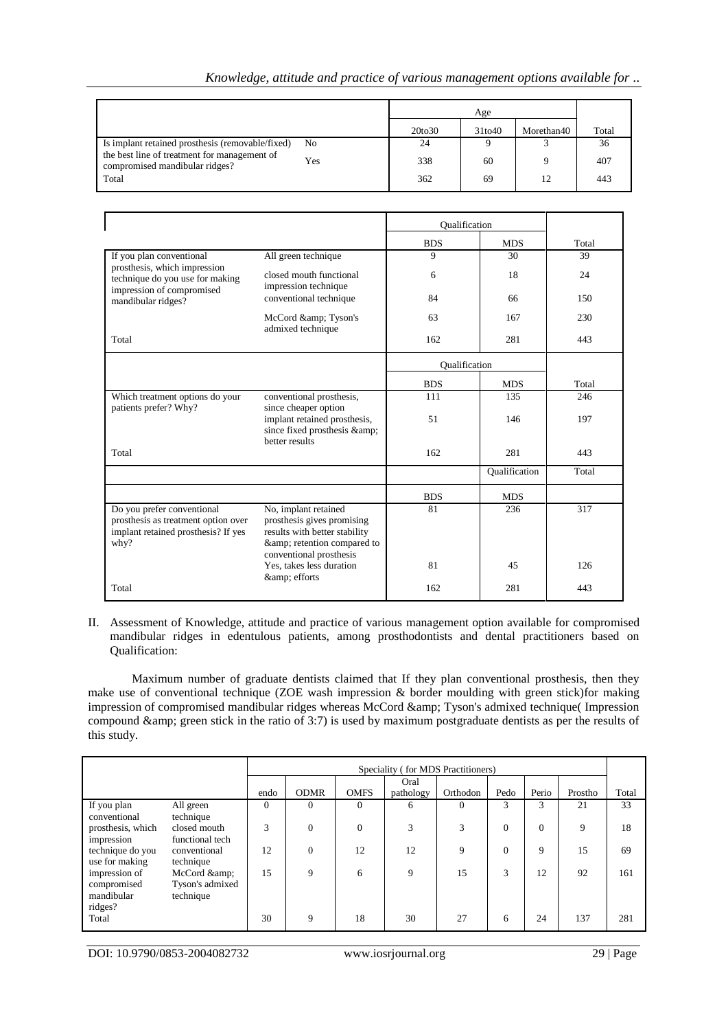|  |  |  | Knowledge, attitude and practice of various management options available for |  |
|--|--|--|------------------------------------------------------------------------------|--|

|                                                                                |     | 20to30 | 31to40 | Morethan40 | Total |
|--------------------------------------------------------------------------------|-----|--------|--------|------------|-------|
| Is implant retained prosthesis (removable/fixed)                               | No. | 24     |        |            | 36    |
| the best line of treatment for management of<br>compromised mandibular ridges? | Yes | 338    | 60     |            | 407   |
| Total                                                                          |     | 362    | 69     | 12         | 443   |

|                                                                                                                  |                                                                                                                                           | Oualification |                      |       |
|------------------------------------------------------------------------------------------------------------------|-------------------------------------------------------------------------------------------------------------------------------------------|---------------|----------------------|-------|
|                                                                                                                  |                                                                                                                                           | <b>BDS</b>    | <b>MDS</b>           | Total |
| If you plan conventional                                                                                         | All green technique                                                                                                                       | 9             | 30                   | 39    |
| prosthesis, which impression<br>technique do you use for making<br>impression of compromised                     | closed mouth functional<br>impression technique                                                                                           | 6             | 18                   | 24    |
| mandibular ridges?                                                                                               | conventional technique                                                                                                                    | 84            | 66                   | 150   |
|                                                                                                                  | McCord & Tyson's<br>admixed technique                                                                                                     | 63            | 167                  | 230   |
| Total                                                                                                            |                                                                                                                                           | 162           | 281                  | 443   |
|                                                                                                                  |                                                                                                                                           | Qualification |                      |       |
|                                                                                                                  |                                                                                                                                           | <b>BDS</b>    | <b>MDS</b>           | Total |
| Which treatment options do your<br>patients prefer? Why?                                                         | conventional prosthesis,<br>since cheaper option                                                                                          | 111           | 135                  | 246   |
|                                                                                                                  | implant retained prosthesis,<br>since fixed prosthesis & amp;<br>better results                                                           | 51            | 146                  | 197   |
| Total                                                                                                            |                                                                                                                                           | 162           | 281                  | 443   |
|                                                                                                                  |                                                                                                                                           |               | <b>Qualification</b> | Total |
|                                                                                                                  |                                                                                                                                           | <b>BDS</b>    | <b>MDS</b>           |       |
| Do you prefer conventional<br>prosthesis as treatment option over<br>implant retained prosthesis? If yes<br>why? | No, implant retained<br>prosthesis gives promising<br>results with better stability<br>& retention compared to<br>conventional prosthesis | 81            | 236                  | 317   |
|                                                                                                                  | Yes, takes less duration<br>& efforts                                                                                                     | 81            | 45                   | 126   |
| Total                                                                                                            |                                                                                                                                           | 162           | 281                  | 443   |

### II. Assessment of Knowledge, attitude and practice of various management option available for compromised mandibular ridges in edentulous patients, among prosthodontists and dental practitioners based on Qualification:

Maximum number of graduate dentists claimed that If they plan conventional prosthesis, then they make use of conventional technique (ZOE wash impression & border moulding with green stick)for making impression of compromised mandibular ridges whereas McCord & Tyson's admixed technique( Impression compound & amp; green stick in the ratio of 3:7) is used by maximum postgraduate dentists as per the results of this study.

|                   |                 | Speciality (for MDS Practitioners) |                |             |           |          |              |       |         |       |
|-------------------|-----------------|------------------------------------|----------------|-------------|-----------|----------|--------------|-------|---------|-------|
|                   |                 |                                    |                |             | Oral      |          |              |       |         |       |
|                   |                 | endo                               | <b>ODMR</b>    | <b>OMFS</b> | pathology | Orthodon | Pedo         | Perio | Prostho | Total |
| If you plan       | All green       | $\Omega$                           | $\Omega$       | $\Omega$    | 6         | $\Omega$ | 3            | 3     | 21      | 33    |
| conventional      | technique       |                                    |                |             |           |          |              |       |         |       |
| prosthesis, which | closed mouth    | 3                                  | $\overline{0}$ | $\theta$    | 3         | 3        | $\theta$     | 0     | 9       | 18    |
| impression        | functional tech |                                    |                |             |           |          |              |       |         |       |
| technique do you  | conventional    | 12                                 | $\mathbf{0}$   | 12          | 12        | 9        | $\mathbf{0}$ | 9     | 15      | 69    |
| use for making    | technique       |                                    |                |             |           |          |              |       |         |       |
| impression of     | McCord &        | 15                                 | 9              | 6           | 9         | 15       | 3            | 12    | 92      | 161   |
| compromised       | Tyson's admixed |                                    |                |             |           |          |              |       |         |       |
| mandibular        | technique       |                                    |                |             |           |          |              |       |         |       |
| ridges?           |                 |                                    |                |             |           |          |              |       |         |       |
| Total             |                 | 30                                 | 9              | 18          | 30        | 27       | 6            | 24    | 137     | 281   |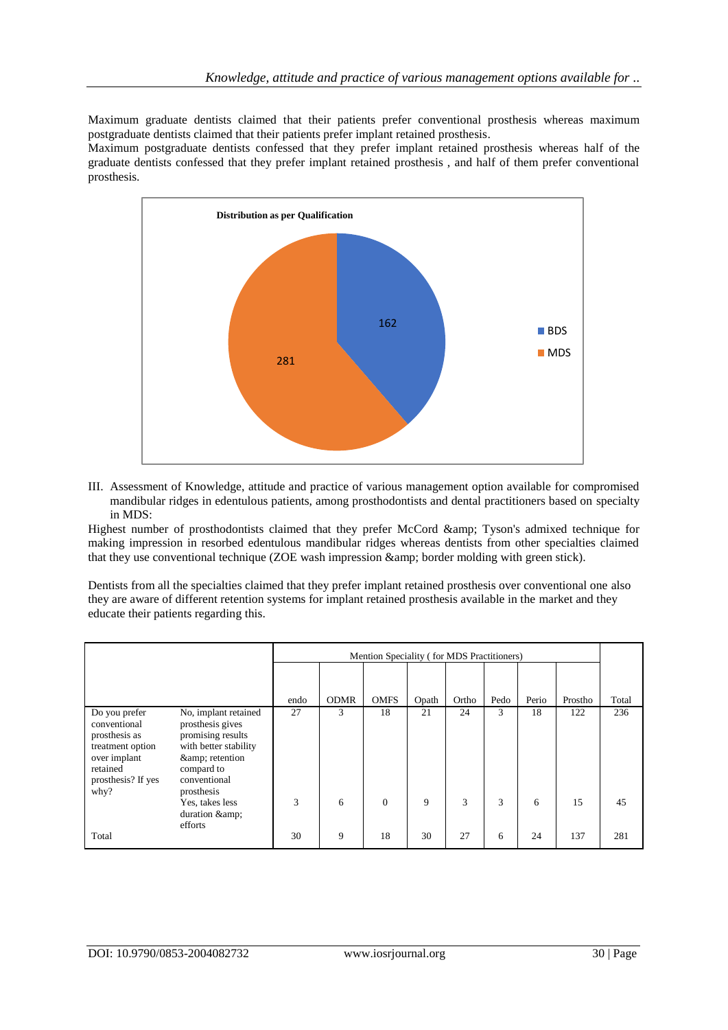Maximum graduate dentists claimed that their patients prefer conventional prosthesis whereas maximum postgraduate dentists claimed that their patients prefer implant retained prosthesis.

Maximum postgraduate dentists confessed that they prefer implant retained prosthesis whereas half of the graduate dentists confessed that they prefer implant retained prosthesis , and half of them prefer conventional prosthesis.



III. Assessment of Knowledge, attitude and practice of various management option available for compromised mandibular ridges in edentulous patients, among prosthodontists and dental practitioners based on specialty in MDS:

Highest number of prosthodontists claimed that they prefer McCord & Tyson's admixed technique for making impression in resorbed edentulous mandibular ridges whereas dentists from other specialties claimed that they use conventional technique (ZOE wash impression & amp; border molding with green stick).

Dentists from all the specialties claimed that they prefer implant retained prosthesis over conventional one also they are aware of different retention systems for implant retained prosthesis available in the market and they educate their patients regarding this.

|                                                                                                                              |                                                                                                                                                   |      | Mention Speciality (for MDS Practitioners) |                |       |       |      |       |         |       |
|------------------------------------------------------------------------------------------------------------------------------|---------------------------------------------------------------------------------------------------------------------------------------------------|------|--------------------------------------------|----------------|-------|-------|------|-------|---------|-------|
|                                                                                                                              |                                                                                                                                                   | endo | <b>ODMR</b>                                | <b>OMFS</b>    | Opath | Ortho | Pedo | Perio | Prostho | Total |
| Do you prefer<br>conventional<br>prosthesis as<br>treatment option<br>over implant<br>retained<br>prosthesis? If yes<br>why? | No, implant retained<br>prosthesis gives<br>promising results<br>with better stability<br>& retention<br>compard to<br>conventional<br>prosthesis | 27   | 3                                          | 18             | 21    | 24    | 3    | 18    | 122     | 236   |
|                                                                                                                              | Yes, takes less<br>duration & amp;<br>efforts                                                                                                     | 3    | 6                                          | $\overline{0}$ | 9     | 3     | 3    | 6     | 15      | 45    |
| Total                                                                                                                        |                                                                                                                                                   | 30   | 9                                          | 18             | 30    | 27    | 6    | 24    | 137     | 281   |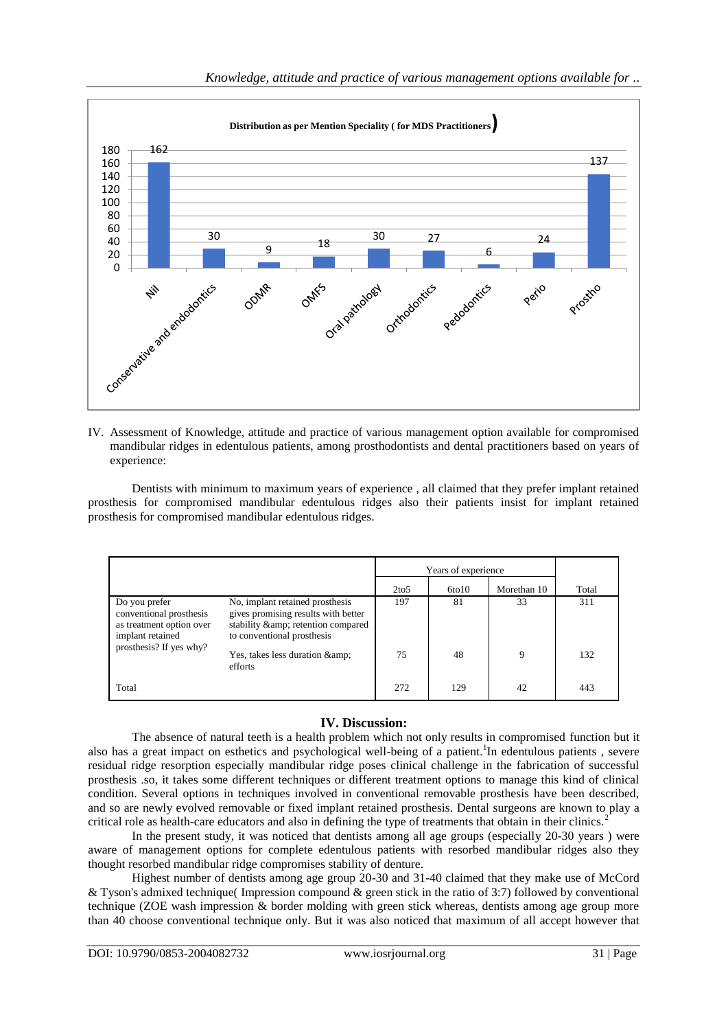

IV. Assessment of Knowledge, attitude and practice of various management option available for compromised mandibular ridges in edentulous patients, among prosthodontists and dental practitioners based on years of experience:

Dentists with minimum to maximum years of experience , all claimed that they prefer implant retained prosthesis for compromised mandibular edentulous ridges also their patients insist for implant retained prosthesis for compromised mandibular edentulous ridges.

|                                                                                                                     |                                                                                                                                             | Years of experience |       |             |       |
|---------------------------------------------------------------------------------------------------------------------|---------------------------------------------------------------------------------------------------------------------------------------------|---------------------|-------|-------------|-------|
|                                                                                                                     |                                                                                                                                             | 2 <sub>to5</sub>    | 6t010 | Morethan 10 | Total |
| Do you prefer<br>conventional prosthesis<br>as treatment option over<br>implant retained<br>prosthesis? If yes why? | No, implant retained prosthesis<br>gives promising results with better<br>stability & amp; retention compared<br>to conventional prosthesis | 197                 | 81    | 33          | 311   |
|                                                                                                                     | Yes, takes less duration & amp;<br>efforts                                                                                                  | 75                  | 48    | 9           | 132   |
| Total                                                                                                               |                                                                                                                                             | 272                 | 129   | 42          | 443   |

# **IV. Discussion:**

The absence of natural teeth is a health problem which not only results in compromised function but it also has a great impact on esthetics and psychological well-being of a patient.<sup>1</sup>In edentulous patients, severe residual ridge resorption especially mandibular ridge poses clinical challenge in the fabrication of successful prosthesis .so, it takes some different techniques or different treatment options to manage this kind of clinical condition. Several options in techniques involved in conventional removable prosthesis have been described, and so are newly evolved removable or fixed implant retained prosthesis. Dental surgeons are known to play a critical role as health-care educators and also in defining the type of treatments that obtain in their clinics.<sup>2</sup>

In the present study, it was noticed that dentists among all age groups (especially 20-30 years) were aware of management options for complete edentulous patients with resorbed mandibular ridges also they thought resorbed mandibular ridge compromises stability of denture.

Highest number of dentists among age group 20-30 and 31-40 claimed that they make use of McCord & Tyson's admixed technique( Impression compound & green stick in the ratio of 3:7) followed by conventional technique (ZOE wash impression & border molding with green stick whereas, dentists among age group more than 40 choose conventional technique only. But it was also noticed that maximum of all accept however that